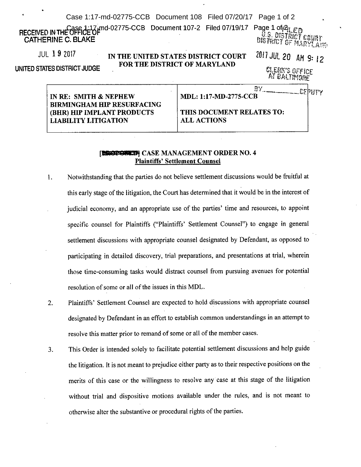| Case 1:17-md-02775-CCB Document 108 Filed 07/20/17 Page 1 of 2 |  |  |  |
|----------------------------------------------------------------|--|--|--|
|----------------------------------------------------------------|--|--|--|

md-02775-CCB Document 107-2 Filed 07/19/17 CATHERINE C. BLAKE

Page 1 of 2 U.S. DISTITI 'T Cells

JUL 1 9 2017

UNITED STATES DISTRICT JUDGE

IN THE UNITED STATES DISTRICT COURT FOR THE DISTRICT OF MARYLAND

*<sup>2017</sup>* JUl 20 AM9; 12

tiUfll)'S OFFICE  $\mu$  baltmore

| IN RE: SMITH & NEPHEW             |  |  |
|-----------------------------------|--|--|
| <b>BIRMINGHAM HIP RESURFACING</b> |  |  |
| <b>(BHR) HIP IMPLANT PRODUCTS</b> |  |  |
| <b>LIABILITY LITIGATION</b>       |  |  |

| <b>MDL: 1:17-MD-2775-CCB</b>                    | .cepht |
|-------------------------------------------------|--------|
| THIS DOCUMENT RELATES TO:<br><b>ALL ACTIONS</b> |        |

## **LEGGEGIED! CASE MANAGEMENT ORDER NO. 4** Plaintiffs' Settlement Counsel

- I. Notwithstanding that the parties do not believe settlement discussions would be fruitful at this early stage of the litigation, the Court has determined that it would be in the interest of judicial economy, and an appropriate use of the parties' time and resources, to appoint specific counsel for Plaintiffs ("Plaintiffs' Settlement Counsel") to engage in general settlement discussions with appropriate counsel designated by Defendant, as opposed to participating in detailed discovery, trial preparations, and presentations at trial, wherein those time-consuming tasks would distract counsel from pursuing avenues for potential resolution of some or all of the issues in this MDL.
- 2. Plaintiffs' Settlement Counsel are expected to hold discussions with appropriate counsel designated by Defendant in an effort to establish common understandings in an attempt to resolve this matter prior to remand of some or all of the member cases.
- 3. This Order is intended solely to facilitate potential settlement discussions and help guide the litigation. It is not meant to prejudice either party as to their respective positions on the merits of this case or the willingness to resolve any case at this stage of the litigation without trial and dispositive motions available under the rules, and is not meant to otherwise alter the substantive or procedural rights of the parties.